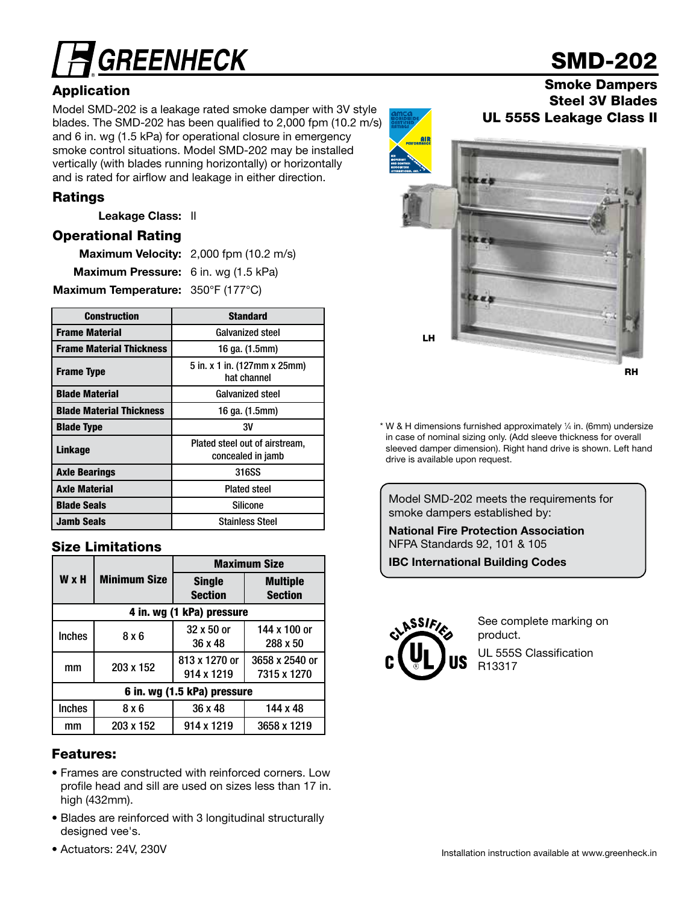# **GREENHECK**

## Application

Model SMD-202 is a leakage rated smoke damper with 3V style blades. The SMD-202 has been qualified to 2,000 fpm (10.2 m/s) and 6 in. wg (1.5 kPa) for operational closure in emergency smoke control situations. Model SMD-202 may be installed vertically (with blades running horizontally) or horizontally and is rated for airflow and leakage in either direction.

#### Ratings

Leakage Class: II

#### Operational Rating

|                                             | Maximum Velocity: 2,000 fpm (10.2 m/s) |
|---------------------------------------------|----------------------------------------|
| <b>Maximum Pressure:</b> 6 in. wg (1.5 kPa) |                                        |
| Maximum Temperature: 350°F (177°C)          |                                        |

| <b>Construction</b>             | <b>Standard</b>                                     |
|---------------------------------|-----------------------------------------------------|
| <b>Frame Material</b>           | <b>Galvanized steel</b>                             |
| <b>Frame Material Thickness</b> | 16 ga. (1.5mm)                                      |
| <b>Frame Type</b>               | 5 in. x 1 in. (127mm x 25mm)<br>hat channel         |
| <b>Blade Material</b>           | <b>Galvanized steel</b>                             |
| <b>Blade Material Thickness</b> | 16 ga. (1.5mm)                                      |
| <b>Blade Type</b>               | ЗV                                                  |
| <b>Linkage</b>                  | Plated steel out of airstream,<br>concealed in jamb |
| <b>Axle Bearings</b>            | 316SS                                               |
| <b>Axle Material</b>            | <b>Plated steel</b>                                 |
| <b>Blade Seals</b>              | Silicone                                            |
| <b>Jamb Seals</b>               | <b>Stainless Steel</b>                              |

#### Size Limitations

|                             |                           | <b>Maximum Size</b>             |                                   |  |  |  |  |
|-----------------------------|---------------------------|---------------------------------|-----------------------------------|--|--|--|--|
| <b>W</b> x H                | <b>Minimum Size</b>       | <b>Single</b><br><b>Section</b> | <b>Multiple</b><br><b>Section</b> |  |  |  |  |
|                             | 4 in. wg (1 kPa) pressure |                                 |                                   |  |  |  |  |
| <b>Inches</b>               | 8 x 6                     | 32 x 50 or<br>36 x 48           | 144 x 100 or<br>288 x 50          |  |  |  |  |
| mm                          | 203 x 152                 | 813 x 1270 or<br>914 x 1219     | 3658 x 2540 or<br>7315 x 1270     |  |  |  |  |
| 6 in. wg (1.5 kPa) pressure |                           |                                 |                                   |  |  |  |  |
| <b>Inches</b>               | 8 x 6                     | 36 x 48                         | 144 x 48                          |  |  |  |  |
| mm                          | 203 x 152                 | 914 x 1219                      | 3658 x 1219                       |  |  |  |  |

#### Features:

- Frames are constructed with reinforced corners. Low profile head and sill are used on sizes less than 17 in. high (432mm).
- Blades are reinforced with 3 longitudinal structurally designed vee's.
- Actuators: 24V, 230V



# SMD-202

#### Smoke Dampers Steel 3V Blades UL 555S Leakage Class II



\* W & H dimensions furnished approximately 1 ⁄4 in. (6mm) undersize in case of nominal sizing only. (Add sleeve thickness for overall sleeved damper dimension). Right hand drive is shown. Left hand drive is available upon request.

Model SMD-202 meets the requirements for smoke dampers established by:

National Fire Protection Association NFPA Standards 92, 101 & 105

IBC International Building Codes



See complete marking on product. UL 555S Classification R13317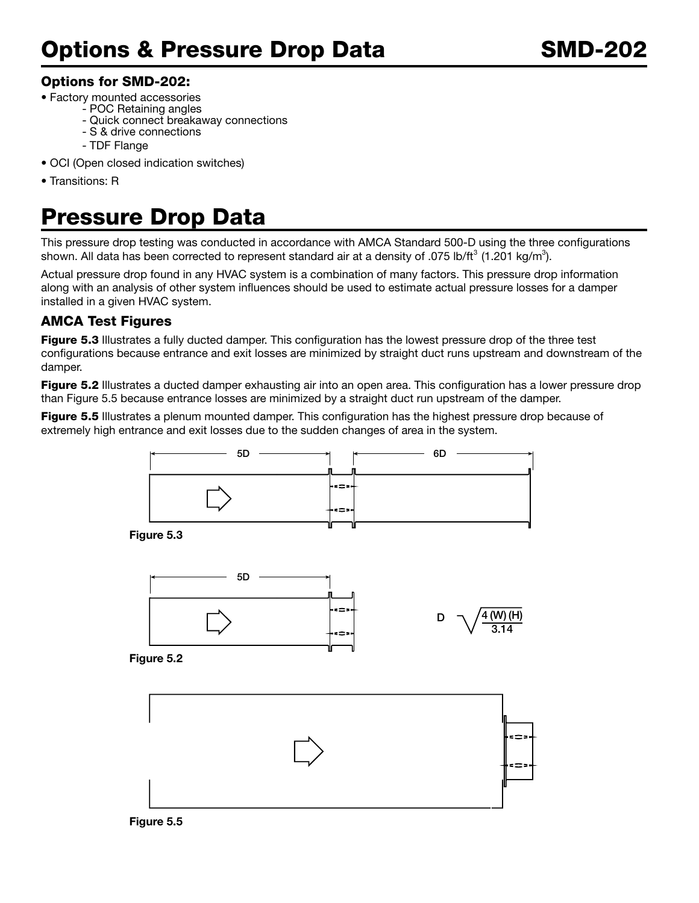## Options for SMD-202:

- Factory mounted accessories
	- POC Retaining angles
		- Quick connect breakaway connections
		- S & drive connections
		- TDF Flange
- OCI (Open closed indication switches)
- Transitions: R

# Pressure Drop Data

This pressure drop testing was conducted in accordance with AMCA Standard 500-D using the three configurations shown. All data has been corrected to represent standard air at a density of .075 lb/ft<sup>3</sup> (1.201 kg/m<sup>3</sup>).

Actual pressure drop found in any HVAC system is a combination of many factors. This pressure drop information along with an analysis of other system influences should be used to estimate actual pressure losses for a damper installed in a given HVAC system.

## AMCA Test Figures

**Figure 5.3** Illustrates a fully ducted damper. This configuration has the lowest pressure drop of the three test configurations because entrance and exit losses are minimized by straight duct runs upstream and downstream of the damper.

**Figure 5.2** Illustrates a ducted damper exhausting air into an open area. This configuration has a lower pressure drop than Figure 5.5 because entrance losses are minimized by a straight duct run upstream of the damper.

Figure 5.5 Illustrates a plenum mounted damper. This configuration has the highest pressure drop because of extremely high entrance and exit losses due to the sudden changes of area in the system.



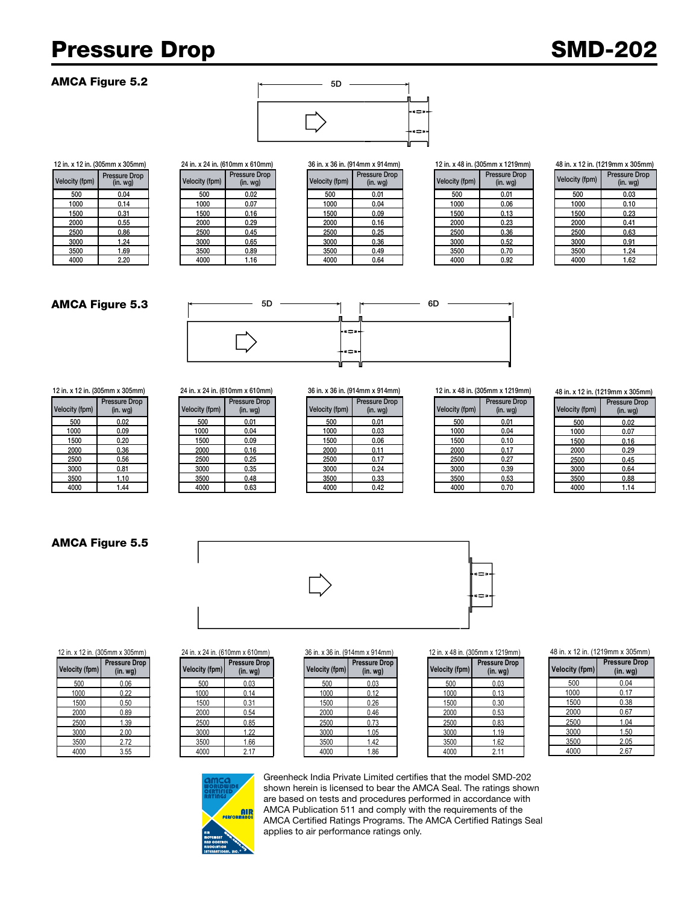# Pressure Drop SMD-202

#### AMCA Figure 5.2



# Velocity (fpm) Pressure Drop

|            | A IZ III. (OVJIIIIII A JUJIIIIII) |                | $2 + 11$ . A $2 + 11$ . (0   0   1   1   1   A 0   0   1   1   1   1 |                | <u>90 iii. A 90 iii. (91 Tiiliii A 91 Tiiliii)</u> | <b>ILLIII.</b> A TU III. (JUJIIIIII A IL |                      |
|------------|-----------------------------------|----------------|----------------------------------------------------------------------|----------------|----------------------------------------------------|------------------------------------------|----------------------|
| city (fpm) | Pressure Drop<br>(in. wg)         | Velocity (fpm) | Pressure Drop<br>(in. <i>wg</i> )                                    | Velocity (fpm) | Pressure Drop<br>(in. <i>wg</i> )                  | Velocity (fpm)                           | Pressure<br>$(in.$ w |
| 500        | 0.04                              | 500            | 0.02                                                                 | 500            | 0.01                                               | 500                                      | 0.01                 |
| 1000       | 0.14                              | 1000           | 0.07                                                                 | 1000           | 0.04                                               | 1000                                     | 0.06                 |
| 1500       | 0.31                              | 1500           | 0.16                                                                 | 1500           | 0.09                                               | 1500                                     | 0.13                 |
| 2000       | 0.55                              | 2000           | 0.29                                                                 | 2000           | 0.16                                               | 2000                                     | 0.23                 |
| 2500       | 0.86                              | 2500           | 0.45                                                                 | 2500           | 0.25                                               | 2500                                     | 0.36                 |
| 3000       | 1.24                              | 3000           | 0.65                                                                 | 3000           | 0.36                                               | 3000                                     | 0.52                 |
| 3500       | 1.69                              | 3500           | 0.89                                                                 | 3500           | 0.49                                               | 3500                                     | 0.70                 |
| 4000       | 2.20                              | 4000           | 1.16                                                                 | 4000           | 0.64                                               | 4000                                     | 0.92                 |
|            |                                   |                |                                                                      |                |                                                    |                                          |                      |

|                | 12 in. x 12 in. (305mm x 305mm) |                | 24 in. x 24 in. (610mm x 610mm) |                | 36 in. x 36 in. (914mm x 914mm)          |                | 12 in. x 48 in. (305mm x 1219mm)         |
|----------------|---------------------------------|----------------|---------------------------------|----------------|------------------------------------------|----------------|------------------------------------------|
| Velocity (fpm) | Pressure Drop<br>(in. wg)       | Velocity (fpm) | Pressure Drop<br>(in. wg)       | Velocity (fpm) | <b>Pressure Drop</b><br>(in. <i>wq</i> ) | Velocity (fpm) | <b>Pressure Drop</b><br>(in. <i>wg</i> ) |
| 500            | 0.04                            | 500            | 0.02                            | 500            | 0.01                                     | 500            | 0.01                                     |
| 1000           | 0.14                            | 1000           | 0.07                            | 1000           | 0.04                                     | 1000           | 0.06                                     |
| 1500           | 0.31                            | 1500           | 0.16                            | 1500           | 0.09                                     | 1500           | 0.13                                     |
| 2000           | 0.55                            | 2000           | 0.29                            | 2000           | 0.16                                     | 2000           | 0.23                                     |
| 2500           | 0.86                            | 2500           | 0.45                            | 2500           | 0.25                                     | 2500           | 0.36                                     |
| 3000           | 1.24                            | 3000           | 0.65                            | 3000           | 0.36                                     | 3000           | 0.52                                     |
| 3500           | 1.69                            | 3500           | 0.89                            | 3500           | 0.49                                     | 3500           | 0.70                                     |
| 4000           | 2.20                            | 4000           | 1.16                            | 4000           | 0.64                                     | 4000           | 0.92                                     |

| ווווועו בו גוווווט טעוויטר איוו |                                       |  |  |  |  |
|---------------------------------|---------------------------------------|--|--|--|--|
| locity (fpm)                    | <b>Pressure Drop</b><br>$(in.$ wg $)$ |  |  |  |  |
| 500                             | 0.01                                  |  |  |  |  |
| 1000                            | 0.06                                  |  |  |  |  |
| 1500                            | 0.13                                  |  |  |  |  |
| 2000                            | 0.23                                  |  |  |  |  |
| 2500                            | 0.36                                  |  |  |  |  |
| 3000                            | 0.52                                  |  |  |  |  |
| 3500                            | 0.70                                  |  |  |  |  |
| 4000                            | 0.92                                  |  |  |  |  |

48 in. x 12 in. (1219mm x 305mm)

| <b>Velocity (fpm)</b> | <b>Pressure Drop</b><br>$(in. wq)$ |
|-----------------------|------------------------------------|
| 500                   | 0.03                               |
| 1000                  | 0.10                               |
| 1500                  | 0.23                               |
| 2000                  | 0.41                               |
| 2500                  | 0.63                               |
| 3000                  | 0.91                               |
| 3500                  | 1.24                               |
| 4000                  | 1.62                               |

#### AMCA Figure 5.3



12 in. x 12 in. (305mm x 305mm) 24 in. x 24 in. (610mm x 610mm) 36 in. x 36 in. (914mm x 914mm) 12 in. x 48 in. (305mm x 1219mm)

| Velocity (fpm) | <b>Pressure Drop</b><br>(in. <i>wq</i> ) |
|----------------|------------------------------------------|
| 500            | 0.02                                     |
| 1000           | 0.09                                     |
| 1500           | 0.20                                     |
| 2000           | 0.36                                     |
| 2500           | 0.56                                     |
| 3000           | 0.81                                     |
| 3500           | 1.10                                     |
| 4000           | 1 44                                     |

#### 5D Velo **Pressure Drop**

| city (fpm) | $(in.$ wg $)$ | Velocity (fpm) |
|------------|---------------|----------------|
| 500        | 0.01          | 500            |
| 1000       | 0.04          | 1000           |
| 1500       | 0.09          | 1500           |
| 2000       | 0.16          | 2000           |
| 2500       | 0.25          | 2500           |
| 3000       | 0.35          | 3000           |
| 3500       | 0.48          | 3500           |
| 4000       | 0.63          | 4000           |

| city (fpm) | Pressure Drop<br>(in. <i>wg</i> ) | Velocity (fpm) | <b>Pressure Drop</b><br>(in. wg) | Velocity (fpm) | <b>Pressure Drop</b><br>(in. <i>wg</i> ) | Velocity (fpm) | Pressure<br>$(in.$ w |
|------------|-----------------------------------|----------------|----------------------------------|----------------|------------------------------------------|----------------|----------------------|
| 500        | 0.02                              | 500            | 0.01                             | 500            | 0.01                                     | 500            | 0.01                 |
| 1000       | 0.09                              | 1000           | 0.04                             | 1000           | 0.03                                     | 1000           | 0.04                 |
| 1500       | 0.20                              | 1500           | 0.09                             | 1500           | 0.06                                     | 1500           | 0.10                 |
| 2000       | 0.36                              | 2000           | 0.16                             | 2000           | 0.11                                     | 2000           | 0.17                 |
| 2500       | 0.56                              | 2500           | 0.25                             | 2500           | 0.17                                     | 2500           | 0.27                 |
| 3000       | 0.81                              | 3000           | 0.35                             | 3000           | 0.24                                     | 3000           | 0.39                 |
| 3500       | 1.10                              | 3500           | 0.48                             | 3500           | 0.33                                     | 3500           | 0.53                 |
| 4000       | .44                               | 4000           | 0.63                             | 4000           | 0.42                                     | 4000           | 0.70                 |

| <b>Velocity (fpm)</b> | <b>Pressure Drop</b><br>$(in.$ wg $)$ |
|-----------------------|---------------------------------------|
| 500                   | 0.01                                  |
| 1000                  | 0.04                                  |
| 1500                  | 0.10                                  |
| 2000                  | 0.17                                  |
| 2500                  | 0.27                                  |
| 3000                  | 0.39                                  |
| 3500                  | 0.53                                  |
| 4000                  | 0.70                                  |

48 in. x 12 in. (1219mm x 305mm)

| <b>Velocity (fpm)</b> | <b>Pressure Drop</b><br>$(in.$ wg $)$ |
|-----------------------|---------------------------------------|
| 500                   | 0.02                                  |
| 1000                  | 0.07                                  |
| 1500                  | 0.16                                  |
| 2000                  | 0.29                                  |
| 2500                  | 0.45                                  |
| 3000                  | 0.64                                  |
| 3500                  | 0.88                                  |
| 4000                  | 1.14                                  |

#### AMCA Figure 5.5

**Velocity (fpm)**

**Pressure Drop**



 $Velocity (fpm)$ 

500 0.06 500 0.03 500 0.03 500 0.03 1000 | 0.22 | 1000 | 0.14 | 1000 | 0.12 | 1000 | 0.13 1500 | 0.50 | 1500 | 0.31 | 1500 | 0.26 | 1500 | 0.30 2000 0.89 2000 0.54 2000 0.46 2000 0.53 2500 | 1.39 | 2.500 | 0.85 | 2.500 | 0.73 | 2.500 | 0.83 3000 2.00 3000 1.22 3000 1.05 3000 1.19 3500 2.72 3500 1.66 3500 1.42 3500 1.62 4000 | 3.55 | | 4000 | 2.17 | | 4000 | 1.86 | | | 4000 | 2.11

12 in. x 12 in. (305mm x 305mm) 24 in. x 24 in. (610mm x 610mm) 36 in. x 36 in. (914mm x 914mm) 12 in. x 48 in. (305mm x 1219mm)

**Pressure Drop**



**Pressure Drop (in. wg)**

**(in. wg) Velocity (fpm)**

#### 48 in. x 12 in. (1219mm x 305mm)

| <b>Velocity (fpm)</b> | <b>Pressure Drop</b><br>$(in.$ wg $)$ |  |
|-----------------------|---------------------------------------|--|
| 500                   | 0.04                                  |  |
| 1000                  | 0.17                                  |  |
| 1500                  | 0.38                                  |  |
| 2000                  | 0.67                                  |  |
| 2500                  | 1.04                                  |  |
| 3000                  | 1.50                                  |  |
| 3500                  | 2.05                                  |  |
| 4000                  | 2.67                                  |  |



**(in. wg) Velocity (fpm)**

**Pressure Drop**

Greenheck India Private Limited certifies that the model SMD-202 shown herein is licensed to bear the AMCA Seal. The ratings shown are based on tests and procedures performed in accordance with AMCA Publication 511 and comply with the requirements of the AMCA Certified Ratings Programs. The AMCA Certified Ratings Seal applies to air performance ratings only.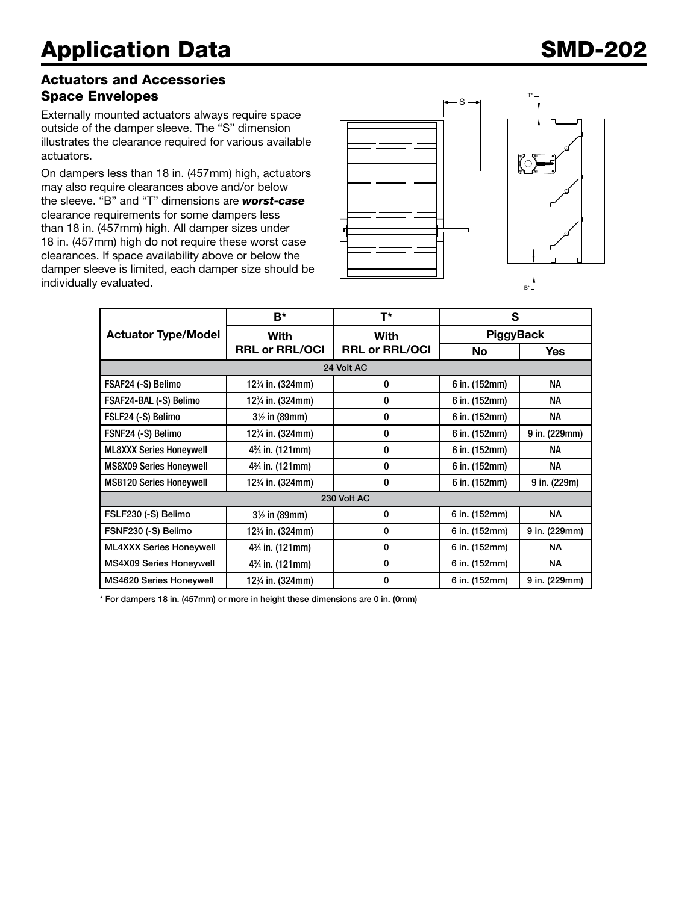#### Actuators and Accessories Space Envelopes

Externally mounted actuators always require space outside of the damper sleeve. The "S" dimension illustrates the clearance required for various available actuators.

On dampers less than 18 in. (457mm) high, actuators may also require clearances above and/or below the sleeve. "B" and "T" dimensions are *worst-case* clearance requirements for some dampers less than 18 in. (457mm) high. All damper sizes under 18 in. (457mm) high do not require these worst case clearances. If space availability above or below the damper sleeve is limited, each damper size should be individually evaluated.



|                                | B*                                         | T*                            | S                |               |  |  |
|--------------------------------|--------------------------------------------|-------------------------------|------------------|---------------|--|--|
| <b>Actuator Type/Model</b>     | With                                       | With<br><b>RRL or RRL/OCI</b> | <b>PiggyBack</b> |               |  |  |
|                                | <b>RRL or RRL/OCI</b>                      |                               | <b>No</b>        | <b>Yes</b>    |  |  |
| 24 Volt AC                     |                                            |                               |                  |               |  |  |
| FSAF24 (-S) Belimo             | 12 <sup>3</sup> / <sub>4</sub> in. (324mm) | 0                             | 6 in. (152mm)    | NA            |  |  |
| FSAF24-BAL (-S) Belimo         | 12 <sup>3</sup> / <sub>4</sub> in. (324mm) | 0                             | 6 in. (152mm)    | NА            |  |  |
| FSLF24 (-S) Belimo             | $3\frac{1}{2}$ in (89mm)                   | 0                             | 6 in. (152mm)    | NА            |  |  |
| FSNF24 (-S) Belimo             | 12 <sup>3</sup> / <sub>4</sub> in. (324mm) | 0                             | 6 in. (152mm)    | 9 in. (229mm) |  |  |
| <b>ML8XXX Series Honeywell</b> | 4 <sup>3</sup> / <sub>4</sub> in. (121mm)  | 0                             | 6 in. (152mm)    | NA            |  |  |
| <b>MS8X09 Series Honeywell</b> | 4 <sup>3</sup> / <sub>4</sub> in. (121mm)  | $\bf{0}$                      | 6 in. (152mm)    | NА            |  |  |
| <b>MS8120 Series Honeywell</b> | 12 <sup>3</sup> / <sub>4</sub> in. (324mm) | 0                             | 6 in. (152mm)    | 9 in. (229m)  |  |  |
| 230 Volt AC                    |                                            |                               |                  |               |  |  |
| FSLF230 (-S) Belimo            | $3\frac{1}{2}$ in (89mm)                   | 0                             | 6 in. (152mm)    | <b>NA</b>     |  |  |
| FSNF230 (-S) Belimo            | 12 <sup>3</sup> / <sub>4</sub> in. (324mm) | 0                             | 6 in. (152mm)    | 9 in. (229mm) |  |  |
| <b>ML4XXX Series Honeywell</b> | 4 <sup>3</sup> / <sub>4</sub> in. (121mm)  | 0                             | 6 in. (152mm)    | NA.           |  |  |
| MS4X09 Series Honeywell        | $4\%$ in. (121mm)                          | 0                             | 6 in. (152mm)    | NA.           |  |  |
| <b>MS4620 Series Honeywell</b> | 12 <sup>3</sup> / <sub>4</sub> in. (324mm) | 0                             | 6 in. (152mm)    | 9 in. (229mm) |  |  |

\* For dampers 18 in. (457mm) or more in height these dimensions are 0 in. (0mm)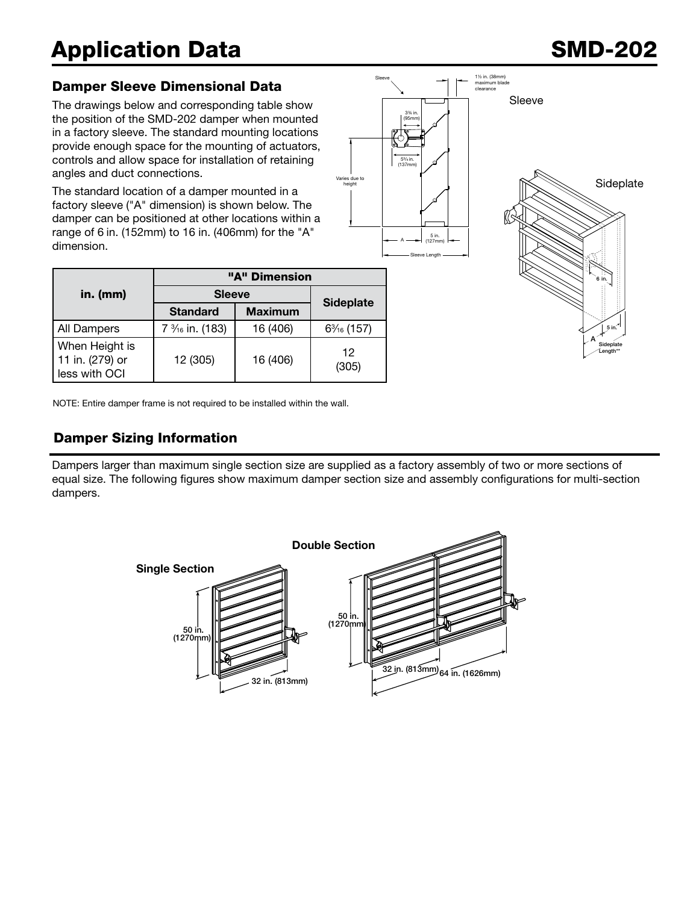# Application Data SMD-202

A 5 in. Sideplate Length\*\*

## Damper Sleeve Dimensional Data

The drawings below and corresponding table show the position of the SMD-202 damper when mounted in a factory sleeve. The standard mounting locations provide enough space for the mounting of actuators, controls and allow space for installation of retaining angles and duct connections.

The standard location of a damper mounted in a factory sleeve ("A" dimension) is shown below. The damper can be positioned at other locations within a range of 6 in. (152mm) to 16 in. (406mm) for the "A" dimension.

|                                                    | "A" Dimension                            |                |                  |  |  |
|----------------------------------------------------|------------------------------------------|----------------|------------------|--|--|
| in. (mm)                                           | <b>Sleeve</b>                            |                |                  |  |  |
|                                                    | <b>Standard</b>                          | <b>Maximum</b> | <b>Sideplate</b> |  |  |
| All Dampers                                        | 7 <sup>3</sup> / <sub>16</sub> in. (183) | 16 (406)       | $6\%$ (157)      |  |  |
| When Height is<br>11 in. (279) or<br>less with OCI | 12 (305)                                 | 16 (406)       | 12<br>(305)      |  |  |

NOTE: Entire damper frame is not required to be installed within the wall.

## Damper Sizing Information

Dampers larger than maximum single section size are supplied as a factory assembly of two or more sections of equal size. The following figures show maximum damper section size and assembly configurations for multi-section dampers.